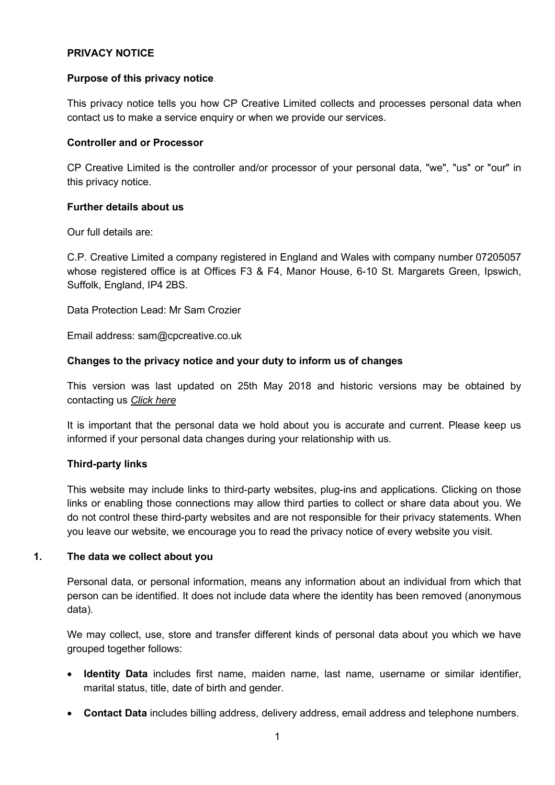## **PRIVACY NOTICE**

#### **Purpose of this privacy notice**

This privacy notice tells you how CP Creative Limited collects and processes personal data when contact us to make a service enquiry or when we provide our services.

#### **Controller and or Processor**

CP Creative Limited is the controller and/or processor of your personal data, "we", "us" or "our" in this privacy notice.

#### <span id="page-0-0"></span>**Further details about us**

Our full details are:

C.P. Creative Limited a company registered in England and Wales with company number 07205057 whose registered office is at Offices F3 & F4, Manor House, 6-10 St. Margarets Green, Ipswich, Suffolk, England, IP4 2BS.

Data Protection Lead: Mr Sam Crozier

Email address: sam@cpcreative.co.uk

#### **Changes to the privacy notice and your duty to inform us of changes**

This version was last updated on 25th May 2018 and historic versions may be obtained by contacting us *[Click here](mailto:sales@cpcreative.co.uk?subject=Privacy%20Policy)*

It is important that the personal data we hold about you is accurate and current. Please keep us informed if your personal data changes during your relationship with us.

## **Third-party links**

This website may include links to third-party websites, plug-ins and applications. Clicking on those links or enabling those connections may allow third parties to collect or share data about you. We do not control these third-party websites and are not responsible for their privacy statements. When you leave our website, we encourage you to read the privacy notice of every website you visit.

#### **1. The data we collect about you**

Personal data, or personal information, means any information about an individual from which that person can be identified. It does not include data where the identity has been removed (anonymous data).

We may collect, use, store and transfer different kinds of personal data about you which we have grouped together follows:

- **Identity Data** includes first name, maiden name, last name, username or similar identifier, marital status, title, date of birth and gender.
- **Contact Data** includes billing address, delivery address, email address and telephone numbers.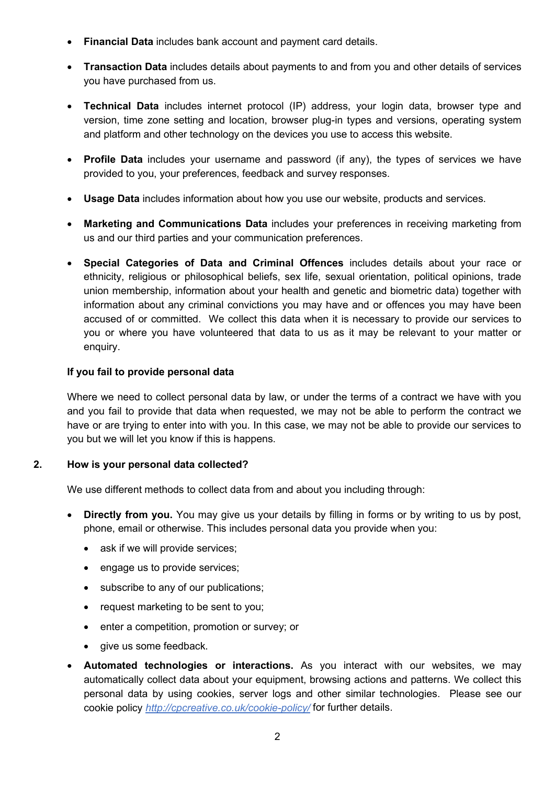- **Financial Data** includes bank account and payment card details.
- **Transaction Data** includes details about payments to and from you and other details of services you have purchased from us.
- **Technical Data** includes internet protocol (IP) address, your login data, browser type and version, time zone setting and location, browser plug-in types and versions, operating system and platform and other technology on the devices you use to access this website.
- **Profile Data** includes your username and password (if any), the types of services we have provided to you, your preferences, feedback and survey responses.
- **Usage Data** includes information about how you use our website, products and services.
- **Marketing and Communications Data** includes your preferences in receiving marketing from us and our third parties and your communication preferences.
- **Special Categories of Data and Criminal Offences** includes details about your race or ethnicity, religious or philosophical beliefs, sex life, sexual orientation, political opinions, trade union membership, information about your health and genetic and biometric data) together with information about any criminal convictions you may have and or offences you may have been accused of or committed. We collect this data when it is necessary to provide our services to you or where you have volunteered that data to us as it may be relevant to your matter or enquiry.

# **If you fail to provide personal data**

Where we need to collect personal data by law, or under the terms of a contract we have with you and you fail to provide that data when requested, we may not be able to perform the contract we have or are trying to enter into with you. In this case, we may not be able to provide our services to you but we will let you know if this is happens.

# **2. How is your personal data collected?**

We use different methods to collect data from and about you including through:

- **Directly from you.** You may give us your details by filling in forms or by writing to us by post, phone, email or otherwise. This includes personal data you provide when you:
	- ask if we will provide services:
	- engage us to provide services:
	- subscribe to any of our publications;
	- request marketing to be sent to you;
	- enter a competition, promotion or survey; or
	- give us some feedback.
- **Automated technologies or interactions.** As you interact with our websites, we may automatically collect data about your equipment, browsing actions and patterns. We collect this personal data by using cookies, server logs and other similar technologies. Please see our cookie policy *<http://cpcreative.co.uk/cookie-policy/>* for further details.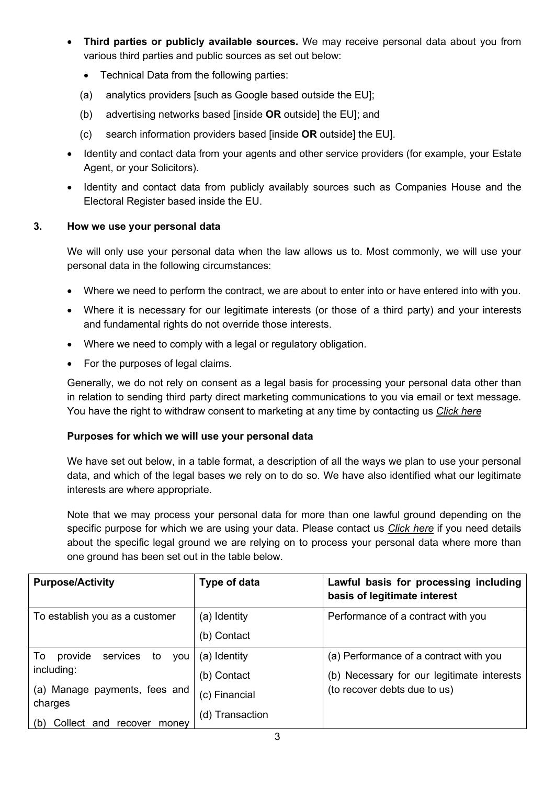- **Third parties or publicly available sources.** We may receive personal data about you from various third parties and public sources as set out below:
	- Technical Data from the following parties:
	- (a) analytics providers [such as Google based outside the EU];
	- (b) advertising networks based [inside **OR** outside] the EU]; and
	- (c) search information providers based [inside **OR** outside] the EU].
- Identity and contact data from your agents and other service providers (for example, your Estate Agent, or your Solicitors).
- Identity and contact data from publicly availably sources such as Companies House and the Electoral Register based inside the EU.

# **3. How we use your personal data**

We will only use your personal data when the law allows us to. Most commonly, we will use your personal data in the following circumstances:

- Where we need to perform the contract, we are about to enter into or have entered into with you.
- Where it is necessary for our legitimate interests (or those of a third party) and your interests and fundamental rights do not override those interests.
- Where we need to comply with a legal or regulatory obligation.
- For the purposes of legal claims.

Generally, we do not rely on consent as a legal basis for processing your personal data other than in relation to sending third party direct marketing communications to you via email or text message. You have the right to withdraw consent to marketing at any time by contacting us *[Click here](mailto:sales@cpcreative.co.uk?subject=Privacy%20Policy)*

# **Purposes for which we will use your personal data**

We have set out below, in a table format, a description of all the ways we plan to use your personal data, and which of the legal bases we rely on to do so. We have also identified what our legitimate interests are where appropriate.

Note that we may process your personal data for more than one lawful ground depending on the specific purpose for which we are using your data. Please contact us *[Click here](mailto:sales@cpcreative.co.uk?subject=Privacy%20Policy)* if you need details about the specific legal ground we are relying on to process your personal data where more than one ground has been set out in the table below.

| <b>Purpose/Activity</b>                       | Type of data    | Lawful basis for processing including<br>basis of legitimate interest |
|-----------------------------------------------|-----------------|-----------------------------------------------------------------------|
| To establish you as a customer                | (a) Identity    | Performance of a contract with you                                    |
|                                               | (b) Contact     |                                                                       |
| services<br>To<br>provide<br><b>VOU</b><br>to | (a) Identity    | (a) Performance of a contract with you                                |
| including:                                    | (b) Contact     | (b) Necessary for our legitimate interests                            |
| (a) Manage payments, fees and<br>charges      | (c) Financial   | (to recover debts due to us)                                          |
| (b)<br>Collect<br>and<br>recover<br>money     | (d) Transaction |                                                                       |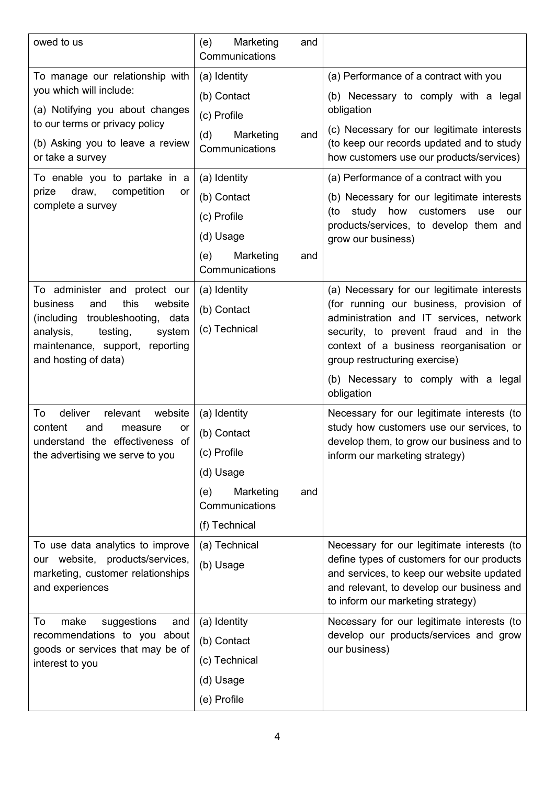| owed to us                                                                                | Marketing<br>(e)<br>and<br>Communications |                                                                                                                                     |
|-------------------------------------------------------------------------------------------|-------------------------------------------|-------------------------------------------------------------------------------------------------------------------------------------|
| To manage our relationship with                                                           | (a) Identity                              | (a) Performance of a contract with you                                                                                              |
| you which will include:<br>(a) Notifying you about changes                                | (b) Contact                               | (b) Necessary to comply with a legal                                                                                                |
|                                                                                           | (c) Profile                               | obligation                                                                                                                          |
| to our terms or privacy policy<br>(b) Asking you to leave a review<br>or take a survey    | (d)<br>Marketing<br>and<br>Communications | (c) Necessary for our legitimate interests<br>(to keep our records updated and to study<br>how customers use our products/services) |
| To enable you to partake in a<br>prize<br>draw,<br>competition<br>or<br>complete a survey | (a) Identity                              | (a) Performance of a contract with you                                                                                              |
|                                                                                           | (b) Contact                               | (b) Necessary for our legitimate interests<br>study how<br>customers<br>(to<br>use<br>our                                           |
|                                                                                           | (c) Profile                               |                                                                                                                                     |
|                                                                                           | (d) Usage                                 | products/services, to develop them and<br>grow our business)                                                                        |
|                                                                                           | (e)<br>Marketing<br>and                   |                                                                                                                                     |
|                                                                                           | Communications                            |                                                                                                                                     |
| To administer and protect our                                                             | (a) Identity                              | (a) Necessary for our legitimate interests                                                                                          |
| this<br>website<br>business<br>and<br>(including<br>troubleshooting, data                 | (b) Contact                               | (for running our business, provision of<br>administration and IT services, network                                                  |
| analysis,<br>testing,<br>system                                                           | (c) Technical                             | security, to prevent fraud and in the                                                                                               |
| maintenance, support, reporting                                                           |                                           | context of a business reorganisation or                                                                                             |
| and hosting of data)                                                                      |                                           | group restructuring exercise)                                                                                                       |
|                                                                                           |                                           | (b) Necessary to comply with a legal<br>obligation                                                                                  |
| deliver<br>relevant<br>website<br>To                                                      | (a) Identity                              | Necessary for our legitimate interests (to                                                                                          |
| content<br>and<br>measure<br>or<br>understand the effectiveness of                        | (b) Contact                               | study how customers use our services, to<br>develop them, to grow our business and to                                               |
| the advertising we serve to you                                                           | (c) Profile                               | inform our marketing strategy)                                                                                                      |
|                                                                                           | (d) Usage                                 |                                                                                                                                     |
|                                                                                           | Marketing<br>(e)<br>and<br>Communications |                                                                                                                                     |
|                                                                                           | (f) Technical                             |                                                                                                                                     |
| To use data analytics to improve                                                          | (a) Technical                             | Necessary for our legitimate interests (to                                                                                          |
| our website, products/services,                                                           | (b) Usage                                 | define types of customers for our products                                                                                          |
| marketing, customer relationships<br>and experiences                                      |                                           | and services, to keep our website updated<br>and relevant, to develop our business and                                              |
|                                                                                           |                                           | to inform our marketing strategy)                                                                                                   |
| To<br>make<br>suggestions<br>and                                                          | (a) Identity                              | Necessary for our legitimate interests (to                                                                                          |
| recommendations to you about                                                              | (b) Contact                               | develop our products/services and grow<br>our business)                                                                             |
| goods or services that may be of<br>interest to you                                       | (c) Technical                             |                                                                                                                                     |
|                                                                                           | (d) Usage                                 |                                                                                                                                     |
|                                                                                           | (e) Profile                               |                                                                                                                                     |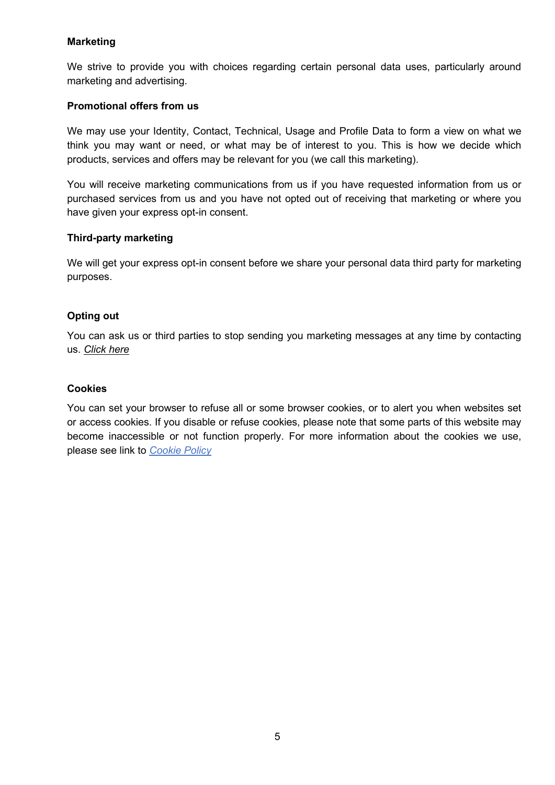# **Marketing**

We strive to provide you with choices regarding certain personal data uses, particularly around marketing and advertising.

## **Promotional offers from us**

We may use your Identity, Contact, Technical, Usage and Profile Data to form a view on what we think you may want or need, or what may be of interest to you. This is how we decide which products, services and offers may be relevant for you (we call this marketing).

You will receive marketing communications from us if you have requested information from us or purchased services from us and you have not opted out of receiving that marketing or where you have given your express opt-in consent.

## **Third-party marketing**

We will get your express opt-in consent before we share your personal data third party for marketing purposes.

# **Opting out**

You can ask us or third parties to stop sending you marketing messages at any time by contacting us. *[Click here](mailto:sales@cpcreative.co.uk?subject=Privacy%20Policy)*

## **Cookies**

You can set your browser to refuse all or some browser cookies, or to alert you when websites set or access cookies. If you disable or refuse cookies, please note that some parts of this website may become inaccessible or not function properly. For more information about the cookies we use, please see link to *[Cookie Policy](http://cpcreative.co.uk/cookie-policy/)*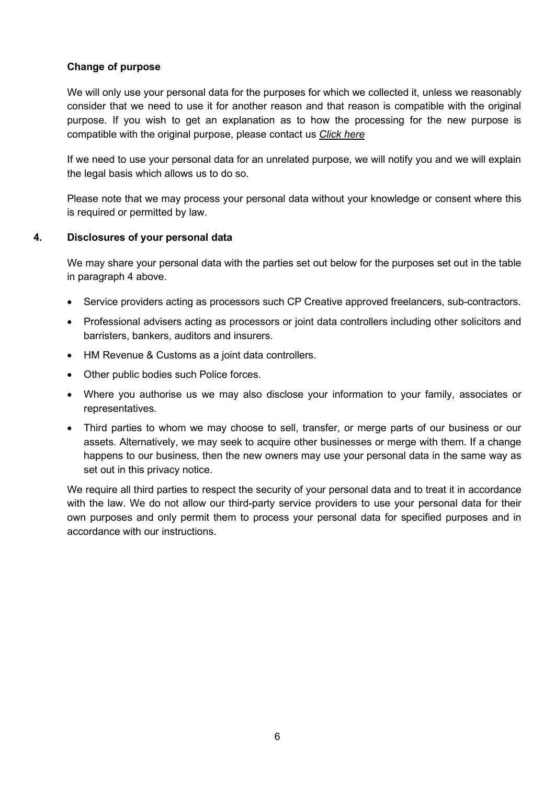# **Change of purpose**

We will only use your personal data for the purposes for which we collected it, unless we reasonably consider that we need to use it for another reason and that reason is compatible with the original purpose. If you wish to get an explanation as to how the processing for the new purpose is compatible with the original purpose, please contact us *[Click here](mailto:sales@cpcreative.co.uk?subject=Privacy%20Policy)*

If we need to use your personal data for an unrelated purpose, we will notify you and we will explain the legal basis which allows us to do so.

Please note that we may process your personal data without your knowledge or consent where this is required or permitted by law.

## **4. Disclosures of your personal data**

We may share your personal data with the parties set out below for the purposes set out in the table in paragraph 4 above.

- Service providers acting as processors such CP Creative approved freelancers, sub-contractors.
- Professional advisers acting as processors or joint data controllers including other solicitors and barristers, bankers, auditors and insurers.
- HM Revenue & Customs as a joint data controllers.
- Other public bodies such Police forces.
- Where you authorise us we may also disclose your information to your family, associates or representatives.
- Third parties to whom we may choose to sell, transfer, or merge parts of our business or our assets. Alternatively, we may seek to acquire other businesses or merge with them. If a change happens to our business, then the new owners may use your personal data in the same way as set out in this privacy notice.

We require all third parties to respect the security of your personal data and to treat it in accordance with the law. We do not allow our third-party service providers to use your personal data for their own purposes and only permit them to process your personal data for specified purposes and in accordance with our instructions.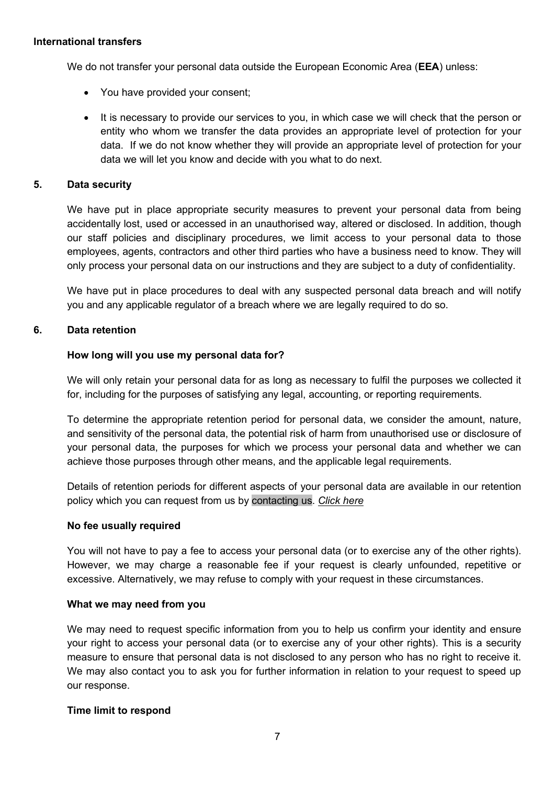#### **International transfers**

We do not transfer your personal data outside the European Economic Area (**EEA**) unless:

- You have provided your consent;
- It is necessary to provide our services to you, in which case we will check that the person or entity who whom we transfer the data provides an appropriate level of protection for your data. If we do not know whether they will provide an appropriate level of protection for your data we will let you know and decide with you what to do next.

## **5. Data security**

We have put in place appropriate security measures to prevent your personal data from being accidentally lost, used or accessed in an unauthorised way, altered or disclosed. In addition, though our staff policies and disciplinary procedures, we limit access to your personal data to those employees, agents, contractors and other third parties who have a business need to know. They will only process your personal data on our instructions and they are subject to a duty of confidentiality.

We have put in place procedures to deal with any suspected personal data breach and will notify you and any applicable regulator of a breach where we are legally required to do so.

## **6. Data retention**

## **How long will you use my personal data for?**

We will only retain your personal data for as long as necessary to fulfil the purposes we collected it for, including for the purposes of satisfying any legal, accounting, or reporting requirements.

To determine the appropriate retention period for personal data, we consider the amount, nature, and sensitivity of the personal data, the potential risk of harm from unauthorised use or disclosure of your personal data, the purposes for which we process your personal data and whether we can achieve those purposes through other means, and the applicable legal requirements.

Details of retention periods for different aspects of your personal data are available in our retention policy which you can request from us by [contacting us.](#page-0-0) *[Click here](mailto:sales@cpcreative.co.uk?subject=Privacy%20Policy)*

## **No fee usually required**

You will not have to pay a fee to access your personal data (or to exercise any of the other rights). However, we may charge a reasonable fee if your request is clearly unfounded, repetitive or excessive. Alternatively, we may refuse to comply with your request in these circumstances.

## **What we may need from you**

We may need to request specific information from you to help us confirm your identity and ensure your right to access your personal data (or to exercise any of your other rights). This is a security measure to ensure that personal data is not disclosed to any person who has no right to receive it. We may also contact you to ask you for further information in relation to your request to speed up our response.

## **Time limit to respond**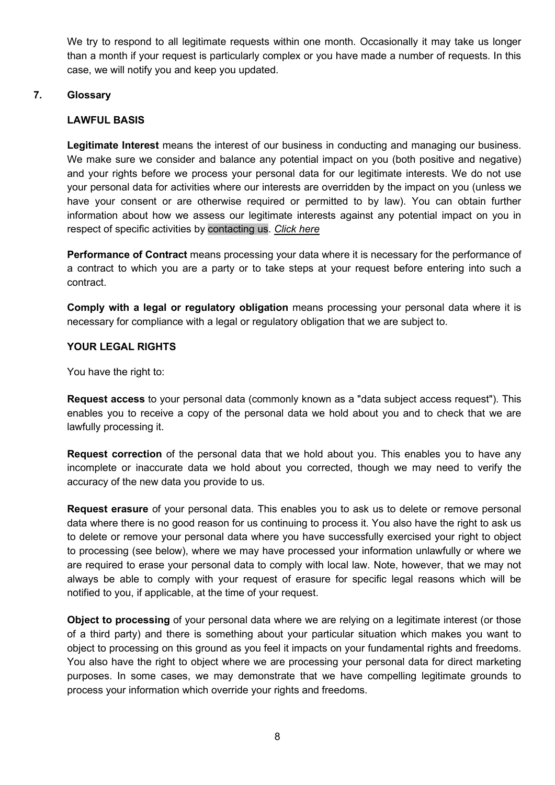We try to respond to all legitimate requests within one month. Occasionally it may take us longer than a month if your request is particularly complex or you have made a number of requests. In this case, we will notify you and keep you updated.

# **7. Glossary**

# **LAWFUL BASIS**

**Legitimate Interest** means the interest of our business in conducting and managing our business. We make sure we consider and balance any potential impact on you (both positive and negative) and your rights before we process your personal data for our legitimate interests. We do not use your personal data for activities where our interests are overridden by the impact on you (unless we have your consent or are otherwise required or permitted to by law). You can obtain further information about how we assess our legitimate interests against any potential impact on you in respect of specific activities by [contacting us.](#page-0-0) *[Click here](mailto:sales@cpcreative.co.uk?subject=Privacy%20Policy)*

**Performance of Contract** means processing your data where it is necessary for the performance of a contract to which you are a party or to take steps at your request before entering into such a contract.

**Comply with a legal or regulatory obligation** means processing your personal data where it is necessary for compliance with a legal or regulatory obligation that we are subject to.

# **YOUR LEGAL RIGHTS**

You have the right to:

**Request access** to your personal data (commonly known as a "data subject access request"). This enables you to receive a copy of the personal data we hold about you and to check that we are lawfully processing it.

**Request correction** of the personal data that we hold about you. This enables you to have any incomplete or inaccurate data we hold about you corrected, though we may need to verify the accuracy of the new data you provide to us.

**Request erasure** of your personal data. This enables you to ask us to delete or remove personal data where there is no good reason for us continuing to process it. You also have the right to ask us to delete or remove your personal data where you have successfully exercised your right to object to processing (see below), where we may have processed your information unlawfully or where we are required to erase your personal data to comply with local law. Note, however, that we may not always be able to comply with your request of erasure for specific legal reasons which will be notified to you, if applicable, at the time of your request.

**Object to processing** of your personal data where we are relying on a legitimate interest (or those of a third party) and there is something about your particular situation which makes you want to object to processing on this ground as you feel it impacts on your fundamental rights and freedoms. You also have the right to object where we are processing your personal data for direct marketing purposes. In some cases, we may demonstrate that we have compelling legitimate grounds to process your information which override your rights and freedoms.